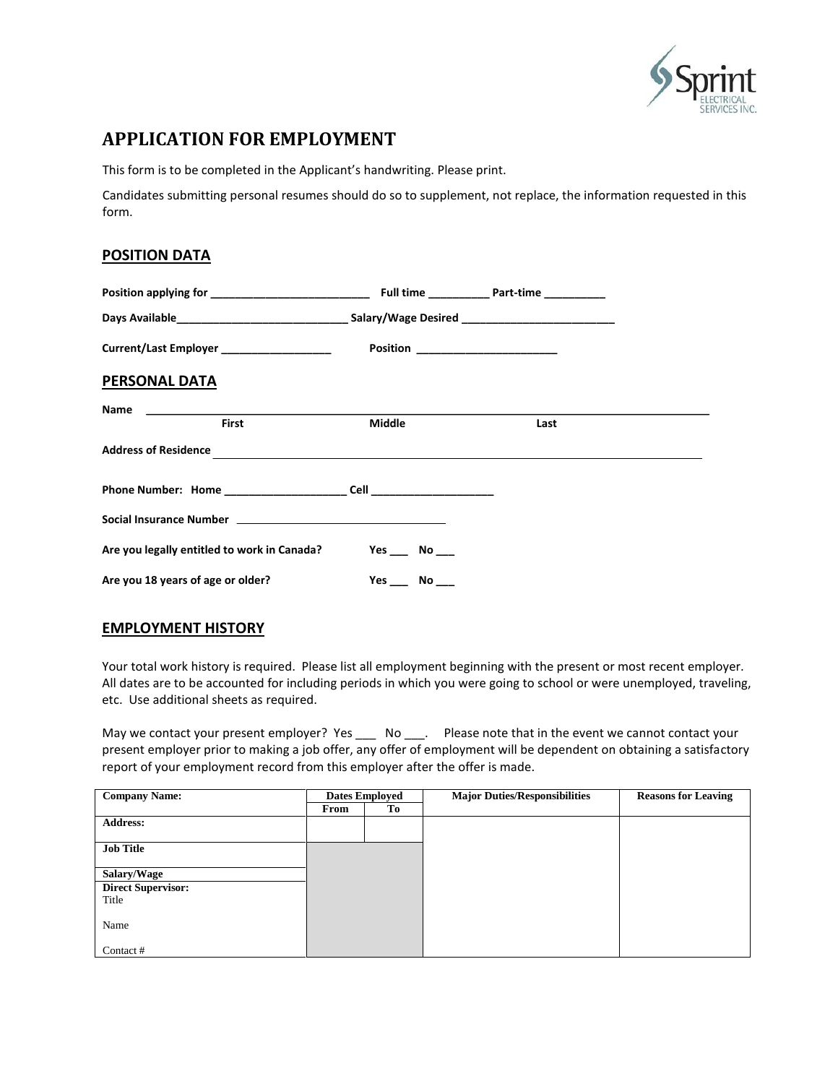

# **APPLICATION FOR EMPLOYMENT**

This form is to be completed in the Applicant's handwriting. Please print.

Candidates submitting personal resumes should do so to supplement, not replace, the information requested in this form.

### **POSITION DATA**

|                                          |                                   |                                                                                                                                                                                                                                | Full time Part-time      |      |  |
|------------------------------------------|-----------------------------------|--------------------------------------------------------------------------------------------------------------------------------------------------------------------------------------------------------------------------------|--------------------------|------|--|
|                                          |                                   |                                                                                                                                                                                                                                |                          |      |  |
| Current/Last Employer __________________ |                                   |                                                                                                                                                                                                                                |                          |      |  |
|                                          | PERSONAL DATA                     |                                                                                                                                                                                                                                |                          |      |  |
|                                          |                                   | Name and the state of the state of the state of the state of the state of the state of the state of the state of the state of the state of the state of the state of the state of the state of the state of the state of the s |                          |      |  |
|                                          | <b>First</b>                      |                                                                                                                                                                                                                                | Middle                   | Last |  |
|                                          | <b>Address of Residence</b>       |                                                                                                                                                                                                                                |                          |      |  |
|                                          |                                   |                                                                                                                                                                                                                                |                          |      |  |
|                                          |                                   |                                                                                                                                                                                                                                |                          |      |  |
|                                          |                                   | Are you legally entitled to work in Canada?                                                                                                                                                                                    | Yes $\_\_\$ No $\_\_\_\$ |      |  |
|                                          | Are you 18 years of age or older? |                                                                                                                                                                                                                                | Yes $\_\_$ No $\_\_$     |      |  |

### **EMPLOYMENT HISTORY**

Your total work history is required. Please list all employment beginning with the present or most recent employer. All dates are to be accounted for including periods in which you were going to school or were unemployed, traveling, etc. Use additional sheets as required.

May we contact your present employer? Yes \_\_\_ No \_\_\_. Please note that in the event we cannot contact your present employer prior to making a job offer, any offer of employment will be dependent on obtaining a satisfactory report of your employment record from this employer after the offer is made.

| <b>Company Name:</b>      | <b>Dates Employed</b> |    | <b>Major Duties/Responsibilities</b> | <b>Reasons for Leaving</b> |
|---------------------------|-----------------------|----|--------------------------------------|----------------------------|
|                           | From                  | Tо |                                      |                            |
| <b>Address:</b>           |                       |    |                                      |                            |
| <b>Job Title</b>          |                       |    |                                      |                            |
| Salary/Wage               |                       |    |                                      |                            |
| <b>Direct Supervisor:</b> |                       |    |                                      |                            |
| Title                     |                       |    |                                      |                            |
| Name                      |                       |    |                                      |                            |
| Contact #                 |                       |    |                                      |                            |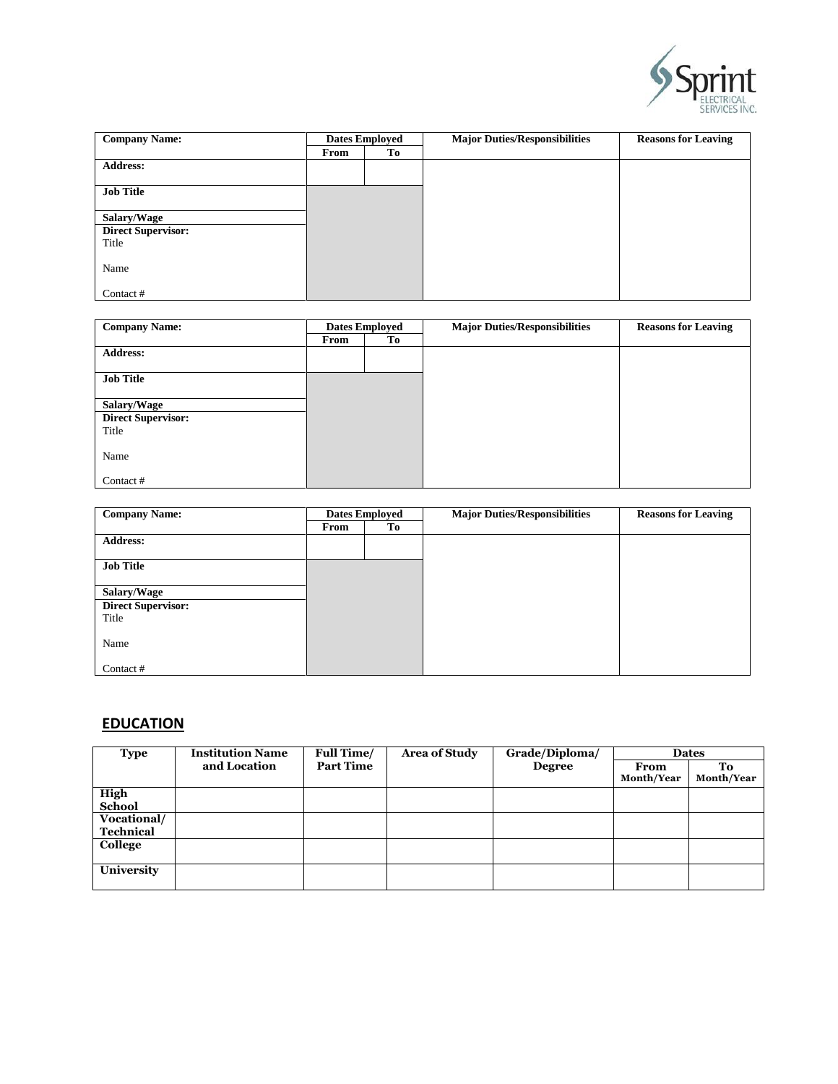

| <b>Company Name:</b>      | <b>Dates Employed</b> |    | <b>Major Duties/Responsibilities</b> | <b>Reasons for Leaving</b> |  |
|---------------------------|-----------------------|----|--------------------------------------|----------------------------|--|
|                           | From                  | To |                                      |                            |  |
| <b>Address:</b>           |                       |    |                                      |                            |  |
|                           |                       |    |                                      |                            |  |
| <b>Job Title</b>          |                       |    |                                      |                            |  |
|                           |                       |    |                                      |                            |  |
| Salary/Wage               |                       |    |                                      |                            |  |
| <b>Direct Supervisor:</b> |                       |    |                                      |                            |  |
| Title                     |                       |    |                                      |                            |  |
|                           |                       |    |                                      |                            |  |
| Name                      |                       |    |                                      |                            |  |
|                           |                       |    |                                      |                            |  |
| Contact #                 |                       |    |                                      |                            |  |

| <b>Company Name:</b>      | <b>Dates Employed</b> |    | <b>Major Duties/Responsibilities</b> | <b>Reasons for Leaving</b> |
|---------------------------|-----------------------|----|--------------------------------------|----------------------------|
|                           | From                  | Tо |                                      |                            |
| <b>Address:</b>           |                       |    |                                      |                            |
|                           |                       |    |                                      |                            |
| <b>Job Title</b>          |                       |    |                                      |                            |
|                           |                       |    |                                      |                            |
| Salary/Wage               |                       |    |                                      |                            |
| <b>Direct Supervisor:</b> |                       |    |                                      |                            |
| Title                     |                       |    |                                      |                            |
|                           |                       |    |                                      |                            |
| Name                      |                       |    |                                      |                            |
|                           |                       |    |                                      |                            |
| Contact#                  |                       |    |                                      |                            |

| <b>Company Name:</b>      | <b>Dates Employed</b> |    | <b>Major Duties/Responsibilities</b> | <b>Reasons for Leaving</b> |
|---------------------------|-----------------------|----|--------------------------------------|----------------------------|
|                           | From                  | To |                                      |                            |
| <b>Address:</b>           |                       |    |                                      |                            |
|                           |                       |    |                                      |                            |
| <b>Job Title</b>          |                       |    |                                      |                            |
|                           |                       |    |                                      |                            |
| Salary/Wage               |                       |    |                                      |                            |
| <b>Direct Supervisor:</b> |                       |    |                                      |                            |
| Title                     |                       |    |                                      |                            |
|                           |                       |    |                                      |                            |
| Name                      |                       |    |                                      |                            |
|                           |                       |    |                                      |                            |
| Contact#                  |                       |    |                                      |                            |

## **EDUCATION**

| <b>Type</b> | <b>Institution Name</b> | Full Time/       | <b>Area of Study</b> | Grade/Diploma/ |                   | <b>Dates</b> |
|-------------|-------------------------|------------------|----------------------|----------------|-------------------|--------------|
|             | and Location            | <b>Part Time</b> |                      | <b>Degree</b>  | From              | To           |
|             |                         |                  |                      |                | <b>Month/Year</b> | Month/Year   |
| High        |                         |                  |                      |                |                   |              |
| School      |                         |                  |                      |                |                   |              |
| Vocational/ |                         |                  |                      |                |                   |              |
| Technical   |                         |                  |                      |                |                   |              |
| College     |                         |                  |                      |                |                   |              |
|             |                         |                  |                      |                |                   |              |
| University  |                         |                  |                      |                |                   |              |
|             |                         |                  |                      |                |                   |              |